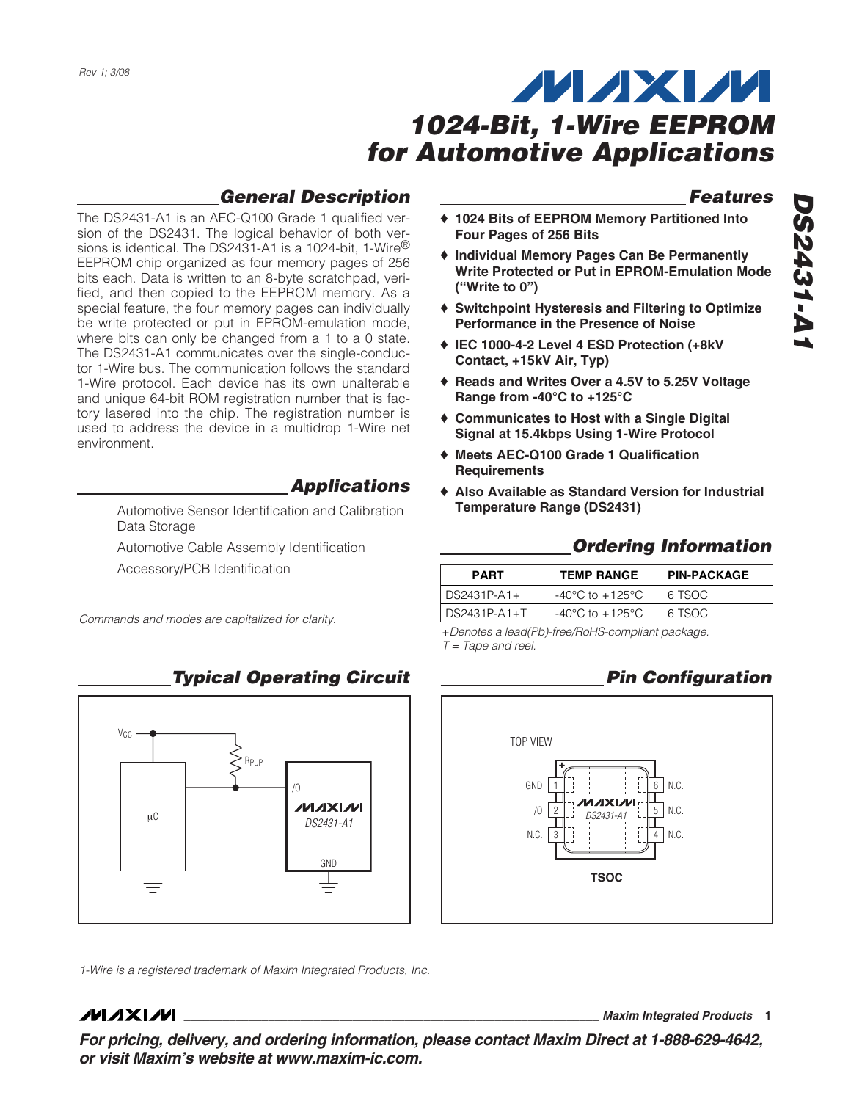## **General Description**

The DS2431-A1 is an AEC-Q100 Grade 1 qualified version of the DS2431. The logical behavior of both versions is identical. The DS2431-A1 is a 1024-bit, 1-Wire® EEPROM chip organized as four memory pages of 256 bits each. Data is written to an 8-byte scratchpad, verified, and then copied to the EEPROM memory. As a special feature, the four memory pages can individually be write protected or put in EPROM-emulation mode, where bits can only be changed from a 1 to a 0 state. The DS2431-A1 communicates over the single-conductor 1-Wire bus. The communication follows the standard 1-Wire protocol. Each device has its own unalterable and unique 64-bit ROM registration number that is factory lasered into the chip. The registration number is used to address the device in a multidrop 1-Wire net environment.

**Applications**

Automotive Sensor Identification and Calibration Data Storage

Automotive Cable Assembly Identification Accessory/PCB Identification

Commands and modes are capitalized for clarity.

V<sub>CC</sub> RPUP  $I/\Omega$ **/VI/IXI/VI** μC *DS2431-A1* GND

1-Wire is a registered trademark of Maxim Integrated Products, Inc.

### **MAXM**

**\_\_\_\_\_\_\_\_\_\_\_\_\_\_\_\_\_\_\_\_\_\_\_\_\_\_\_\_\_\_\_\_\_\_\_\_\_\_\_\_\_\_\_\_\_\_\_\_\_\_\_\_\_\_\_\_\_\_\_\_\_\_\_\_ Maxim Integrated Products 1**

**Features DS2431-A1 DS2431-A1** 

- ♦ **1024 Bits of EEPROM Memory Partitioned Into Four Pages of 256 Bits**
- ♦ **Individual Memory Pages Can Be Permanently Write Protected or Put in EPROM-Emulation Mode ("Write to 0")**
- ♦ **Switchpoint Hysteresis and Filtering to Optimize Performance in the Presence of Noise**
- ♦ **IEC 1000-4-2 Level 4 ESD Protection (+8kV Contact, +15kV Air, Typ)**
- ♦ **Reads and Writes Over a 4.5V to 5.25V Voltage Range from -40°C to +125°C**
- ♦ **Communicates to Host with a Single Digital Signal at 15.4kbps Using 1-Wire Protocol**
- ♦ **Meets AEC-Q100 Grade 1 Qualification Requirements**
- ♦ **Also Available as Standard Version for Industrial Temperature Range (DS2431)**

### **Ordering Information**

|                                     | <b>PART</b> | <b>TEMP RANGE</b>                   | <b>PIN-PACKAGE</b> |  |  |
|-------------------------------------|-------------|-------------------------------------|--------------------|--|--|
| $\vert$ DS2431P-A1+<br>DS2431P-A1+T |             | $-40^{\circ}$ C to $+125^{\circ}$ C | 6 TSOC             |  |  |
|                                     |             | -40°C to $+125$ °C                  | 6 TSOC             |  |  |
|                                     |             |                                     |                    |  |  |

+Denotes a lead(Pb)-free/RoHS-compliant package.  $T =$  Tape and reel.



**For pricing, delivery, and ordering information, please contact Maxim Direct at 1-888-629-4642, or visit Maxim's website at www.maxim-ic.com.**

### **Typical Operating Circuit**

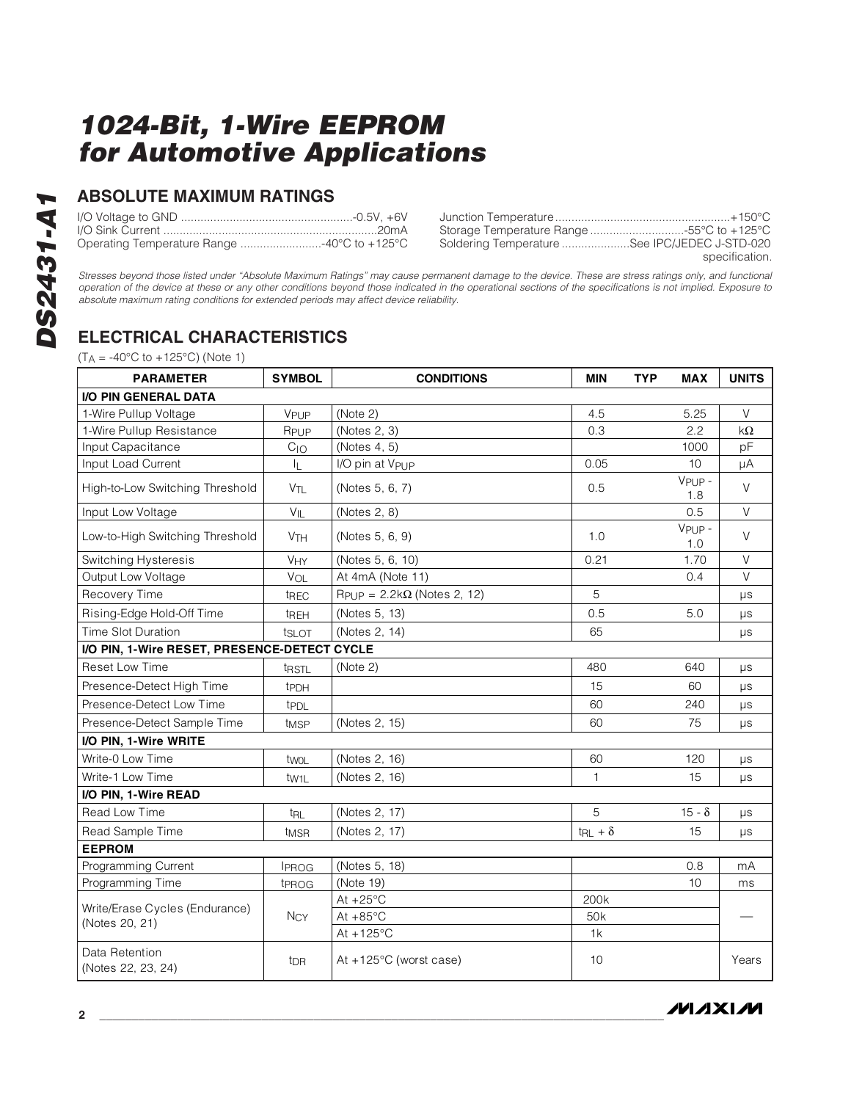### **ABSOLUTE MAXIMUM RATINGS**

| Operating Temperature Range 40°C to +125°C | Soldering Temperature See IPC/JEDEC J-STD-020 |
|--------------------------------------------|-----------------------------------------------|
|                                            | specification.                                |

Stresses beyond those listed under "Absolute Maximum Ratings" may cause permanent damage to the device. These are stress ratings only, and functional operation of the device at these or any other conditions beyond those indicated in the operational sections of the specifications is not implied. Exposure to absolute maximum rating conditions for extended periods may affect device reliability.

## **ELECTRICAL CHARACTERISTICS**

 $(T_A = -40\degree C \text{ to } +125\degree C)$  (Note 1)

| <b>PARAMETER</b>                             | <b>SYMBOL</b>                                   | <b>CONDITIONS</b>                                   | <b>MIN</b>                   | <b>TYP</b><br><b>MAX</b> | <b>UNITS</b> |
|----------------------------------------------|-------------------------------------------------|-----------------------------------------------------|------------------------------|--------------------------|--------------|
| I/O PIN GENERAL DATA                         |                                                 |                                                     |                              |                          |              |
| 1-Wire Pullup Voltage                        | VPUP                                            | (Note 2)                                            | 4.5                          | 5.25                     | $\vee$       |
| 1-Wire Pullup Resistance                     | RPUP                                            | (Notes 2, 3)                                        | 0.3                          | 2.2                      | kΩ           |
| Input Capacitance                            | C <sub>10</sub>                                 | (Notes 4, 5)                                        |                              | 1000                     | pF           |
| Input Load Current                           | IL.                                             | I/O pin at V <sub>PUP</sub>                         | 0.05                         | 10                       | μA           |
| High-to-Low Switching Threshold              | V <sub>TL</sub>                                 | (Notes 5, 6, 7)                                     | 0.5                          | $VPIIP -$<br>1.8         | $\vee$       |
| Input Low Voltage                            | $V_{IL}$                                        | (Notes 2, 8)                                        |                              | 0.5                      | $\vee$       |
| Low-to-High Switching Threshold              | 1.0<br><b>V<sub>TH</sub></b><br>(Notes 5, 6, 9) |                                                     | $VPIIP -$<br>1.0             | $\vee$                   |              |
| Switching Hysteresis                         | VHY                                             | (Notes 5, 6, 10)                                    | 0.21                         | 1.70                     | $\vee$       |
| Output Low Voltage                           | VOL                                             | At 4mA (Note 11)                                    |                              | 0.4                      | $\vee$       |
| Recovery Time                                | <sup>t</sup> REC                                | $R_{\text{PUP}} = 2.2 \text{k}\Omega$ (Notes 2, 12) | 5                            |                          | μs           |
| Rising-Edge Hold-Off Time                    | tREH                                            | (Notes 5, 13)                                       | 0.5                          | 5.0                      | $\mu s$      |
| <b>Time Slot Duration</b>                    | ts <sub>LOT</sub>                               | (Notes 2, 14)                                       | 65                           |                          | μs           |
| I/O PIN, 1-Wire RESET, PRESENCE-DETECT CYCLE |                                                 |                                                     |                              |                          |              |
| <b>Reset Low Time</b>                        | t <sub>RSTL</sub>                               | (Note 2)                                            | 480                          | 640                      | <b>US</b>    |
| Presence-Detect High Time                    | tPDH                                            |                                                     | 15                           | 60                       | μs           |
| Presence-Detect Low Time                     | <b>t</b> PDL                                    |                                                     | 60                           | 240                      | μs           |
| Presence-Detect Sample Time                  | t <sub>MSP</sub>                                | (Notes 2, 15)                                       | 60                           | 75                       | μs           |
| I/O PIN, 1-Wire WRITE                        |                                                 |                                                     |                              |                          |              |
| Write-0 Low Time                             | twoL                                            | (Notes 2, 16)                                       | 60                           | 120                      | μs           |
| Write-1 Low Time                             | tw <sub>1</sub> L                               | (Notes 2, 16)                                       | 1                            | 15                       | μs           |
| I/O PIN, 1-Wire READ                         |                                                 |                                                     |                              |                          |              |
| Read Low Time                                | t <sub>RL</sub>                                 | (Notes 2, 17)                                       | 5                            | $15 - \delta$            | μs           |
| Read Sample Time                             | t <sub>MSR</sub>                                | (Notes 2, 17)                                       | $t_{\mathsf{RL}}$ + $\delta$ | 15                       | μs           |
| <b>EEPROM</b>                                |                                                 |                                                     |                              |                          |              |
| Programming Current                          | <b>IPROG</b>                                    | (Notes 5, 18)                                       |                              | 0.8                      | mA           |
| Programming Time                             | t <sub>PROG</sub>                               | (Note 19)                                           |                              | 10                       | ms           |
| Write/Erase Cycles (Endurance)               |                                                 | At $+25^{\circ}$ C                                  | 200k                         |                          |              |
| (Notes 20, 21)                               | <b>NCY</b>                                      | At $+85^{\circ}$ C                                  | 50 <sub>k</sub>              |                          |              |
|                                              |                                                 | At $+125^{\circ}$ C                                 | 1k                           |                          |              |
| Data Retention<br>(Notes 22, 23, 24)         | t <sub>DR</sub>                                 | At $+125^{\circ}$ C (worst case)                    | 10                           |                          | Years        |

**MAXIM**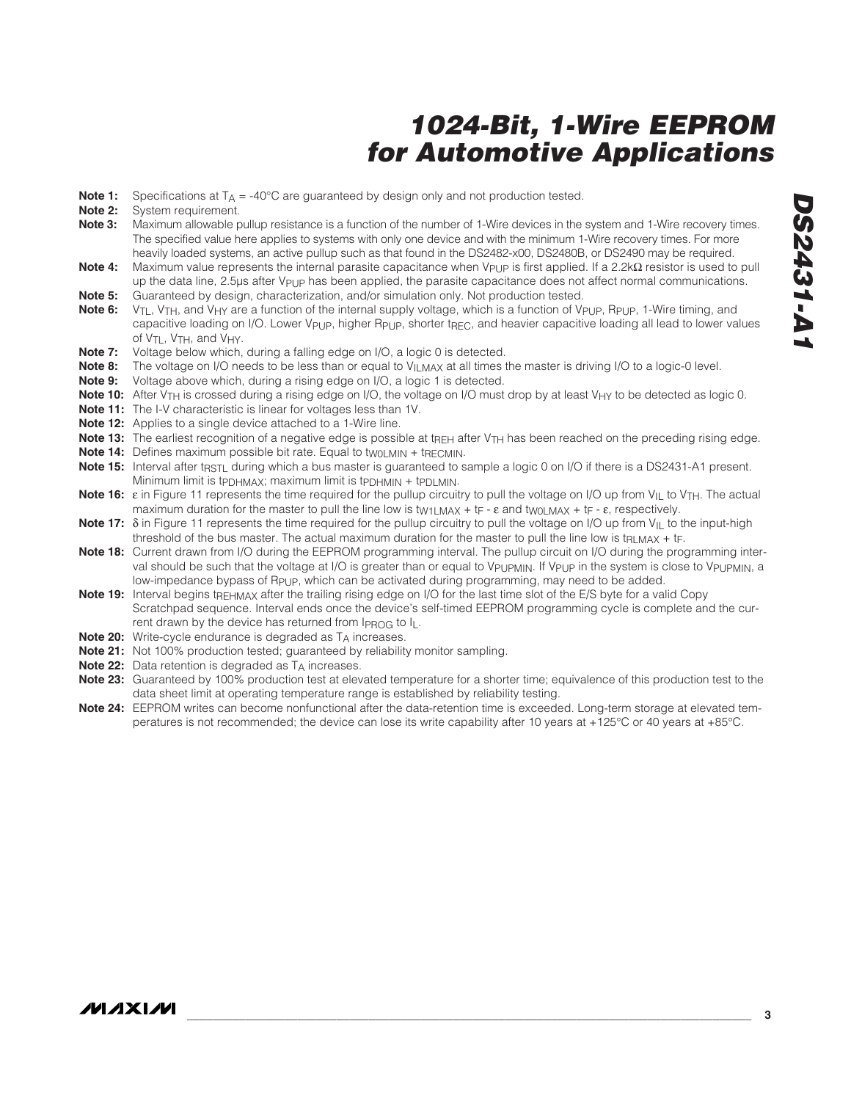- **Note 1:** Specifications at  $T_A = -40^{\circ}$ C are guaranteed by design only and not production tested.<br>**Note 2:** System requirement
- System requirement.
- **Note 3:** Maximum allowable pullup resistance is a function of the number of 1-Wire devices in the system and 1-Wire recovery times. The specified value here applies to systems with only one device and with the minimum 1-Wire recovery times. For more heavily loaded systems, an active pullup such as that found in the DS2482-x00, DS2480B, or DS2490 may be required.
- Note 4: Maximum value represents the internal parasite capacitance when V<sub>PUP</sub> is first applied. If a 2.2kΩ resistor is used to pull up the data line, 2.5µs after V<sub>PUP</sub> has been applied, the parasite capacitance does not affect normal communications.
- **Note 5:** Guaranteed by design, characterization, and/or simulation only. Not production tested.
- **Note 6:** V<sub>TL</sub>, V<sub>TH</sub>, and V<sub>HY</sub> are a function of the internal supply voltage, which is a function of V<sub>PUP</sub>, R<sub>PUP</sub>, 1-Wire timing, and capacitive loading on I/O. Lower V<sub>PUP</sub>, higher R<sub>PUP</sub>, shorter t<sub>REC</sub>, and heavier capacitive loading all lead to lower values of VTL, VTH, and VHY.
- **Note 7:** Voltage below which, during a falling edge on I/O, a logic 0 is detected.
- **Note 8:** The voltage on I/O needs to be less than or equal to V<sub>ILMAX</sub> at all times the master is driving I/O to a logic-0 level.<br>**Note 9:** Voltage above which, during a rising edge on I/O, a logic 1 is detected.
- Voltage above which, during a rising edge on I/O, a logic 1 is detected.
- **Note 10:** After V<sub>TH</sub> is crossed during a rising edge on I/O, the voltage on I/O must drop by at least V<sub>HY</sub> to be detected as logic 0.
- **Note 11:** The I-V characteristic is linear for voltages less than 1V.
- **Note 12:** Applies to a single device attached to a 1-Wire line.
- Note 13: The earliest recognition of a negative edge is possible at t<sub>REH</sub> after V<sub>TH</sub> has been reached on the preceding rising edge.
- **Note 14:** Defines maximum possible bit rate. Equal to twoLMIN + tRECMIN.
- Note 15: Interval after trest during which a bus master is guaranteed to sample a logic 0 on I/O if there is a DS2431-A1 present. Minimum limit is tpphmax; maximum limit is tpphmin + tppLmin.
- Note 16: ε in Figure 11 represents the time required for the pullup circuitry to pull the voltage on I/O up from V<sub>IL</sub> to V<sub>TH</sub>. The actual maximum duration for the master to pull the line low is t<sub>W1LMAX</sub> + t<sub>F</sub> -  $\varepsilon$  and t<sub>W0LMAX</sub> + t<sub>F</sub> -  $\varepsilon$ , respectively.
- **Note 17:** δ in Figure 11 represents the time required for the pullup circuitry to pull the voltage on I/O up from V<sub>IL</sub> to the input-high threshold of the bus master. The actual maximum duration for the master to pull the line low is t<sub>RLMAX</sub> + t<sub>F</sub>.
- **Note 18:** Current drawn from I/O during the EEPROM programming interval. The pullup circuit on I/O during the programming interval should be such that the voltage at I/O is greater than or equal to V<sub>PUPMIN</sub>. If V<sub>PUP</sub> in the system is close to V<sub>PUPMIN</sub>, a low-impedance bypass of RPUP, which can be activated during programming, may need to be added.
- **Note 19:** Interval begins tREHMAX after the trailing rising edge on I/O for the last time slot of the E/S byte for a valid Copy Scratchpad sequence. Interval ends once the device's self-timed EEPROM programming cycle is complete and the current drawn by the device has returned from  $I_{\text{PROG}}$  to  $I_{\text{L}}$ .
- **Note 20:** Write-cycle endurance is degraded as T<sub>A</sub> increases.
- **Note 21:** Not 100% production tested; guaranteed by reliability monitor sampling.
- **Note 22:** Data retention is degraded as TA increases.
- **Note 23:** Guaranteed by 100% production test at elevated temperature for a shorter time; equivalence of this production test to the data sheet limit at operating temperature range is established by reliability testing.
- **Note 24:** EEPROM writes can become nonfunctional after the data-retention time is exceeded. Long-term storage at elevated temperatures is not recommended; the device can lose its write capability after 10 years at +125°C or 40 years at +85°C.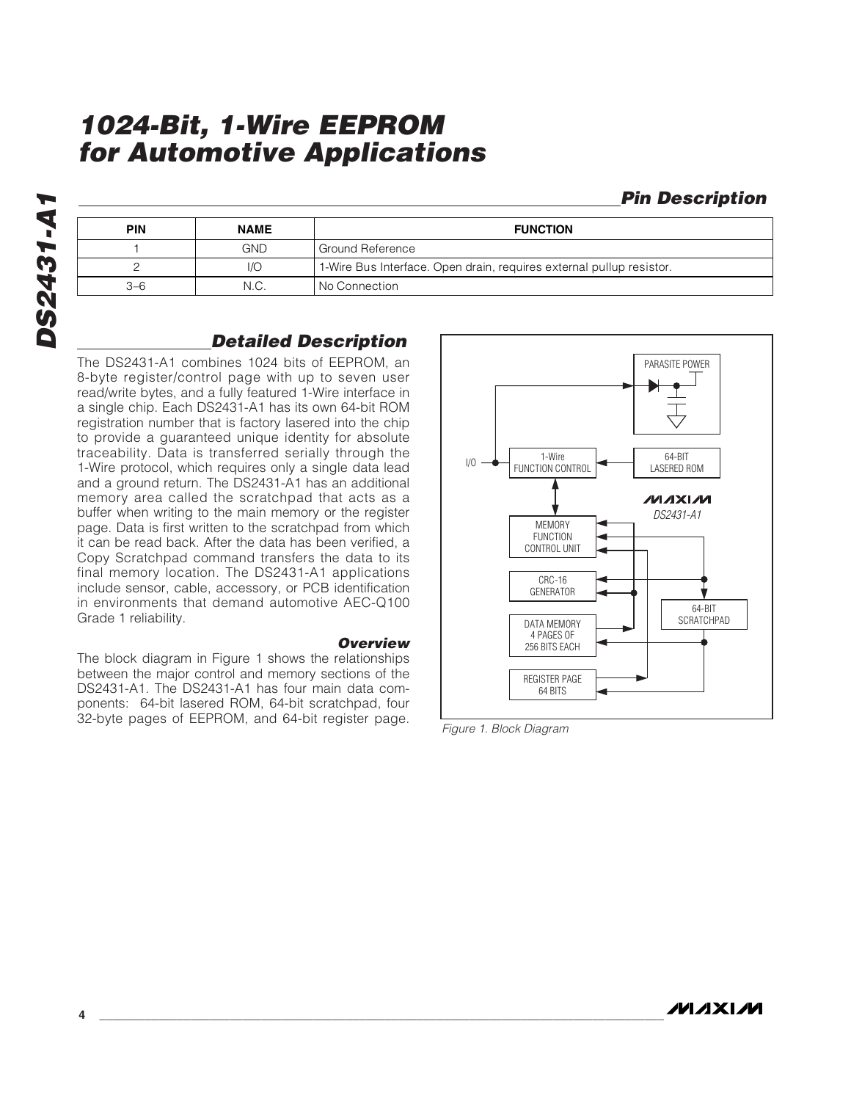### **Pin Description**

| <b>PIN</b> | <b>NAME</b> | <b>FUNCTION</b>                                                      |  |
|------------|-------------|----------------------------------------------------------------------|--|
| GND.       |             | Ground Reference                                                     |  |
|            | 1/O         | 1-Wire Bus Interface. Open drain, requires external pullup resistor. |  |
| $3-6$      | N.C.        | No Connection                                                        |  |

### **Detailed Description**

The DS2431-A1 combines 1024 bits of EEPROM, an 8-byte register/control page with up to seven user read/write bytes, and a fully featured 1-Wire interface in a single chip. Each DS2431-A1 has its own 64-bit ROM registration number that is factory lasered into the chip to provide a guaranteed unique identity for absolute traceability. Data is transferred serially through the 1-Wire protocol, which requires only a single data lead and a ground return. The DS2431-A1 has an additional memory area called the scratchpad that acts as a buffer when writing to the main memory or the register page. Data is first written to the scratchpad from which it can be read back. After the data has been verified, a Copy Scratchpad command transfers the data to its final memory location. The DS2431-A1 applications include sensor, cable, accessory, or PCB identification in environments that demand automotive AEC-Q100 Grade 1 reliability.

#### **Overview**

The block diagram in Figure 1 shows the relationships between the major control and memory sections of the DS2431-A1. The DS2431-A1 has four main data components: 64-bit lasered ROM, 64-bit scratchpad, four 32-byte pages of EEPROM, and 64-bit register page.



Figure 1. Block Diagram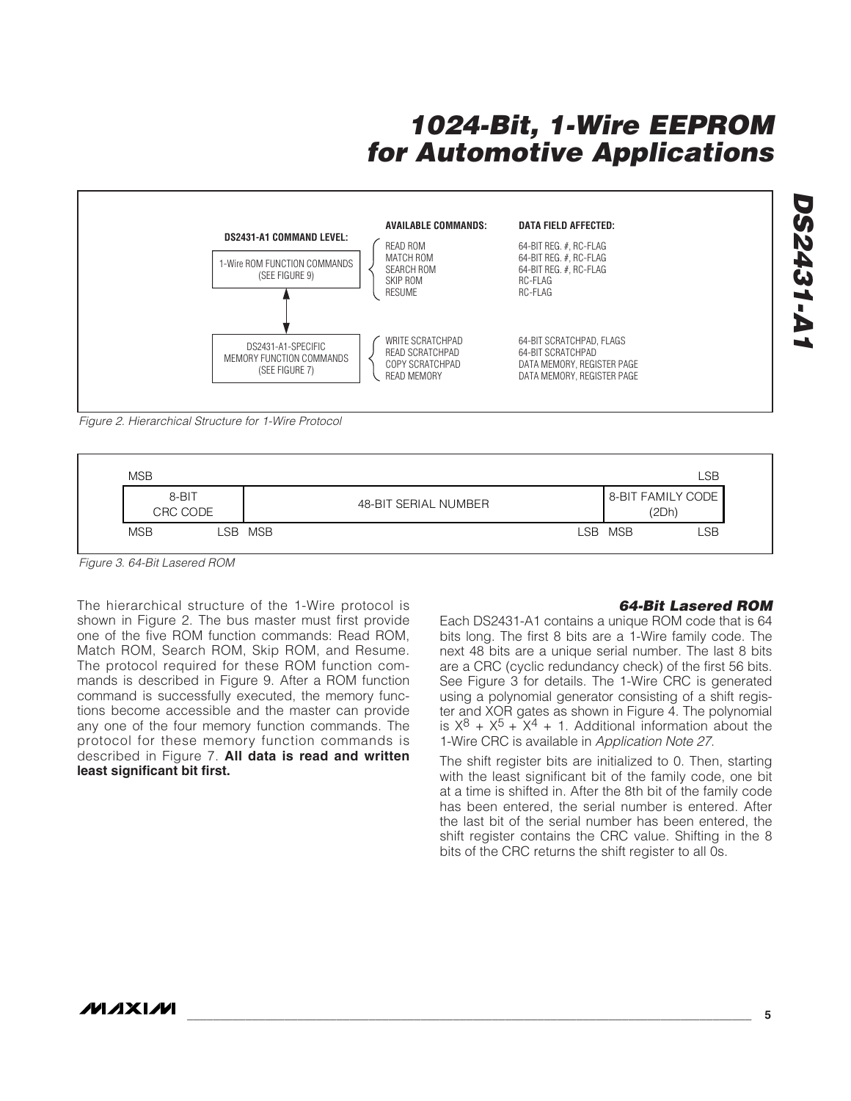

Figure 2. Hierarchical Structure for 1-Wire Protocol



Figure 3. 64-Bit Lasered ROM

The hierarchical structure of the 1-Wire protocol is shown in Figure 2. The bus master must first provide one of the five ROM function commands: Read ROM, Match ROM, Search ROM, Skip ROM, and Resume. The protocol required for these ROM function commands is described in Figure 9. After a ROM function command is successfully executed, the memory functions become accessible and the master can provide any one of the four memory function commands. The protocol for these memory function commands is described in Figure 7. **All data is read and written least significant bit first.**

#### **64-Bit Lasered ROM**

Each DS2431-A1 contains a unique ROM code that is 64 bits long. The first 8 bits are a 1-Wire family code. The next 48 bits are a unique serial number. The last 8 bits are a CRC (cyclic redundancy check) of the first 56 bits. See Figure 3 for details. The 1-Wire CRC is generated using a polynomial generator consisting of a shift register and XOR gates as shown in Figure 4. The polynomial is  $X^8 + X^5 + X^4 + 1$ . Additional information about the 1-Wire CRC is available in Application Note 27.

The shift register bits are initialized to 0. Then, starting with the least significant bit of the family code, one bit at a time is shifted in. After the 8th bit of the family code has been entered, the serial number is entered. After the last bit of the serial number has been entered, the shift register contains the CRC value. Shifting in the 8 bits of the CRC returns the shift register to all 0s.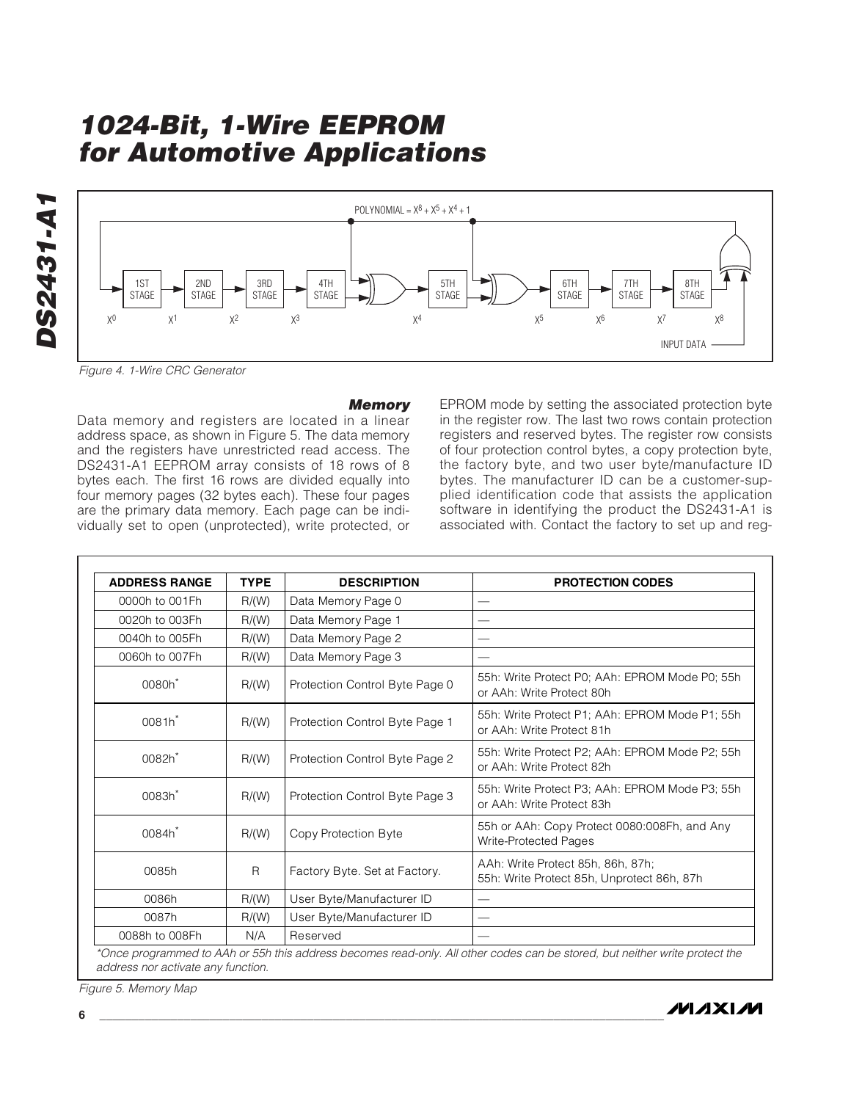DS2431-A1 **DS2431-A1**



Figure 4. 1-Wire CRC Generator

#### **Memory**

Data memory and registers are located in a linear address space, as shown in Figure 5. The data memory and the registers have unrestricted read access. The DS2431-A1 EEPROM array consists of 18 rows of 8 bytes each. The first 16 rows are divided equally into four memory pages (32 bytes each). These four pages are the primary data memory. Each page can be individually set to open (unprotected), write protected, or EPROM mode by setting the associated protection byte in the register row. The last two rows contain protection registers and reserved bytes. The register row consists of four protection control bytes, a copy protection byte, the factory byte, and two user byte/manufacture ID bytes. The manufacturer ID can be a customer-supplied identification code that assists the application software in identifying the product the DS2431-A1 is associated with. Contact the factory to set up and reg-

| <b>ADDRESS RANGE</b>                                       | <b>TYPE</b> | <b>DESCRIPTION</b>             | <b>PROTECTION CODES</b>                                                         |
|------------------------------------------------------------|-------------|--------------------------------|---------------------------------------------------------------------------------|
| 0000h to 001Fh                                             | R/(W)       | Data Memory Page 0             |                                                                                 |
| 0020h to 003Fh                                             | R/(W)       | Data Memory Page 1             |                                                                                 |
| 0040h to 005Fh                                             | R/(W)       | Data Memory Page 2             |                                                                                 |
| 0060h to 007Fh                                             | R/(W)       | Data Memory Page 3             |                                                                                 |
| 0080h <sup>*</sup>                                         | R/(W)       | Protection Control Byte Page 0 | 55h: Write Protect P0; AAh: EPROM Mode P0; 55h<br>or AAh: Write Protect 80h     |
| 0081h*                                                     | R/(W)       | Protection Control Byte Page 1 | 55h: Write Protect P1; AAh: EPROM Mode P1; 55h<br>or AAh: Write Protect 81h     |
| 0082h <sup>*</sup><br>R/(W)<br>0083h <sup>*</sup><br>R/(W) |             | Protection Control Byte Page 2 | 55h: Write Protect P2; AAh: EPROM Mode P2; 55h<br>or AAh: Write Protect 82h     |
|                                                            |             | Protection Control Byte Page 3 | 55h: Write Protect P3; AAh: EPROM Mode P3; 55h<br>or AAh: Write Protect 83h     |
| 0084h <sup>*</sup><br>R/(W)                                |             | Copy Protection Byte           | 55h or AAh: Copy Protect 0080:008Fh, and Any<br>Write-Protected Pages           |
| 0085h<br>R                                                 |             | Factory Byte. Set at Factory.  | AAh: Write Protect 85h, 86h, 87h;<br>55h: Write Protect 85h, Unprotect 86h, 87h |
| 0086h                                                      | R/(W)       | User Byte/Manufacturer ID      |                                                                                 |
| 0087h                                                      | R/(W)       | User Byte/Manufacturer ID      |                                                                                 |
| 0088h to 008Fh                                             | N/A         | Reserved                       |                                                                                 |

\*Once programmed to AAh or 55h this address becomes read-only. All other codes can be stored, but neither write protect the address nor activate any function.

Figure 5. Memory Map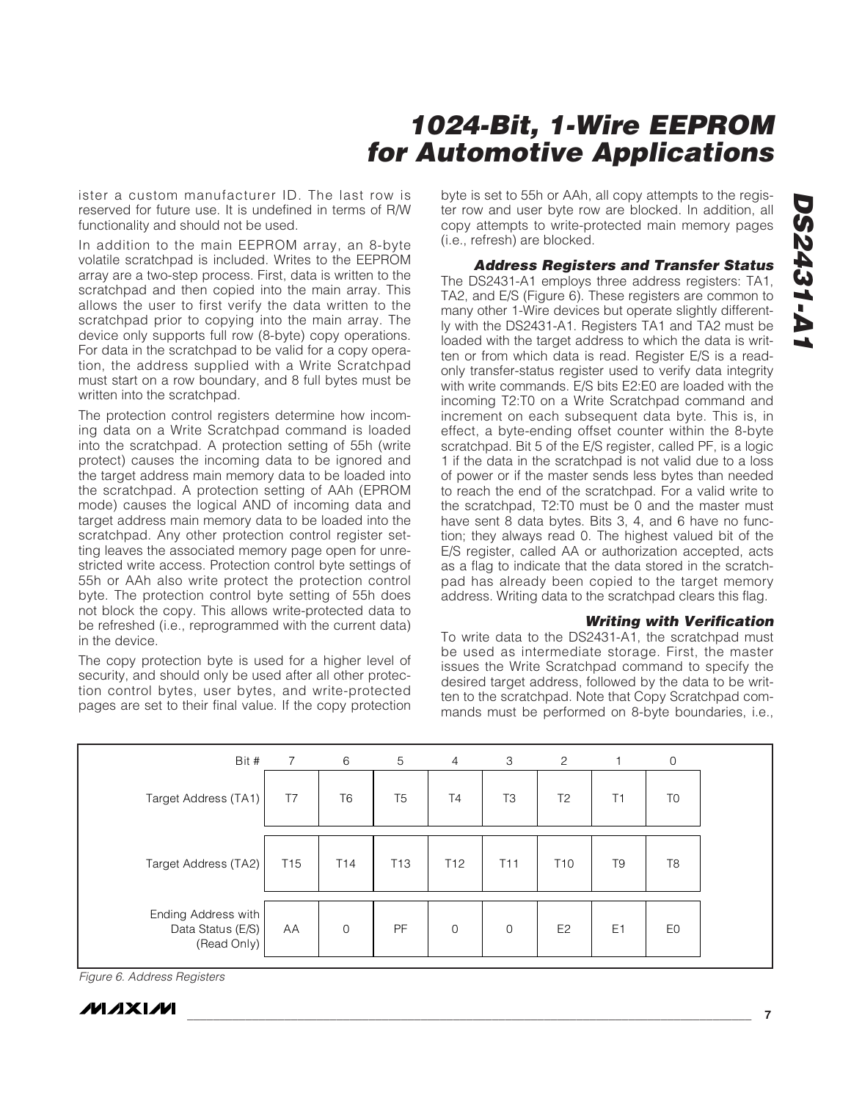ister a custom manufacturer ID. The last row is reserved for future use. It is undefined in terms of R/W functionality and should not be used.

In addition to the main EEPROM array, an 8-byte volatile scratchpad is included. Writes to the EEPROM array are a two-step process. First, data is written to the scratchpad and then copied into the main array. This allows the user to first verify the data written to the scratchpad prior to copying into the main array. The device only supports full row (8-byte) copy operations. For data in the scratchpad to be valid for a copy operation, the address supplied with a Write Scratchpad must start on a row boundary, and 8 full bytes must be written into the scratchpad.

The protection control registers determine how incoming data on a Write Scratchpad command is loaded into the scratchpad. A protection setting of 55h (write protect) causes the incoming data to be ignored and the target address main memory data to be loaded into the scratchpad. A protection setting of AAh (EPROM mode) causes the logical AND of incoming data and target address main memory data to be loaded into the scratchpad. Any other protection control register setting leaves the associated memory page open for unrestricted write access. Protection control byte settings of 55h or AAh also write protect the protection control byte. The protection control byte setting of 55h does not block the copy. This allows write-protected data to be refreshed (i.e., reprogrammed with the current data) in the device.

The copy protection byte is used for a higher level of security, and should only be used after all other protection control bytes, user bytes, and write-protected pages are set to their final value. If the copy protection

byte is set to 55h or AAh, all copy attempts to the register row and user byte row are blocked. In addition, all copy attempts to write-protected main memory pages (i.e., refresh) are blocked.

**Address Registers and Transfer Status** The DS2431-A1 employs three address registers: TA1, TA2, and E/S (Figure 6). These registers are common to many other 1-Wire devices but operate slightly differently with the DS2431-A1. Registers TA1 and TA2 must be loaded with the target address to which the data is written or from which data is read. Register E/S is a readonly transfer-status register used to verify data integrity with write commands. E/S bits E2:E0 are loaded with the incoming T2:T0 on a Write Scratchpad command and increment on each subsequent data byte. This is, in effect, a byte-ending offset counter within the 8-byte scratchpad. Bit 5 of the E/S register, called PF, is a logic 1 if the data in the scratchpad is not valid due to a loss of power or if the master sends less bytes than needed to reach the end of the scratchpad. For a valid write to the scratchpad, T2:T0 must be 0 and the master must have sent 8 data bytes. Bits 3, 4, and 6 have no function; they always read 0. The highest valued bit of the E/S register, called AA or authorization accepted, acts as a flag to indicate that the data stored in the scratchpad has already been copied to the target memory address. Writing data to the scratchpad clears this flag.

#### **Writing with Verification**

To write data to the DS2431-A1, the scratchpad must be used as intermediate storage. First, the master issues the Write Scratchpad command to specify the desired target address, followed by the data to be written to the scratchpad. Note that Copy Scratchpad commands must be performed on 8-byte boundaries, i.e.,

| Bit #                                                   | $\overline{7}$  | 6               | 5               | $\overline{4}$  | 3               | 2               |                | 0              |
|---------------------------------------------------------|-----------------|-----------------|-----------------|-----------------|-----------------|-----------------|----------------|----------------|
| Target Address (TA1)                                    | T7              | T <sub>6</sub>  | T <sub>5</sub>  | T <sub>4</sub>  | T3              | T <sub>2</sub>  | Τ1             | T <sub>0</sub> |
| Target Address (TA2)                                    | T <sub>15</sub> | T <sub>14</sub> | T <sub>13</sub> | T <sub>12</sub> | T <sub>11</sub> | T <sub>10</sub> | T <sub>9</sub> | T <sub>8</sub> |
| Ending Address with<br>Data Status (E/S)<br>(Read Only) | AA              | $\mathbf 0$     | PF              | $\mathbf 0$     | $\mathbf 0$     | E <sub>2</sub>  | E <sub>1</sub> | E0             |

Figure 6. Address Registers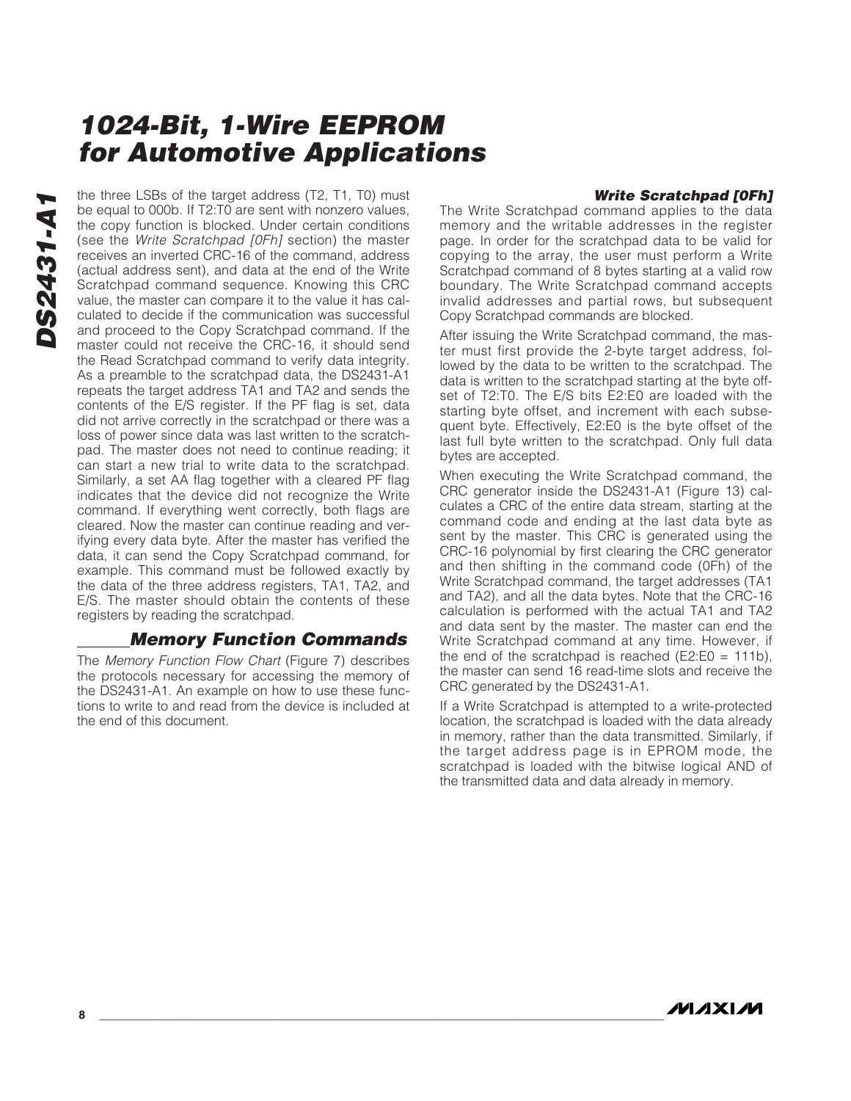#### **Write Scratchpad [0Fh]**

the three LSBs of the target address (T2, T1, T0) must<br>be equal to 000b. If T2:T0 are sent with nonzero values,<br>the copy function is blocked. Under certain conditions<br>(see the *Write Scratchpad [0Fh]* section) the master<br>r be equal to 000b. If T2:T0 are sent with nonzero values, the copy function is blocked. Under certain conditions (see the Write Scratchpad [0Fh] section) the master receives an inverted CRC-16 of the command, address (actual address sent), and data at the end of the Write Scratchpad command sequence. Knowing this CRC value, the master can compare it to the value it has calculated to decide if the communication was successful and proceed to the Copy Scratchpad command. If the master could not receive the CRC-16, it should send the Read Scratchpad command to verify data integrity. As a preamble to the scratchpad data, the DS2431-A1 repeats the target address TA1 and TA2 and sends the contents of the E/S register. If the PF flag is set, data did not arrive correctly in the scratchpad or there was a loss of power since data was last written to the scratchpad. The master does not need to continue reading; it can start a new trial to write data to the scratchpad. Similarly, a set AA flag together with a cleared PF flag indicates that the device did not recognize the Write command. If everything went correctly, both flags are cleared. Now the master can continue reading and verifying every data byte. After the master has verified the data, it can send the Copy Scratchpad command, for example. This command must be followed exactly by the data of the three address registers, TA1, TA2, and E/S. The master should obtain the contents of these registers by reading the scratchpad.

### **Memory Function Commands**

The Memory Function Flow Chart (Figure 7) describes the protocols necessary for accessing the memory of the DS2431-A1. An example on how to use these functions to write to and read from the device is included at the end of this document.

The Write Scratchpad command applies to the data memory and the writable addresses in the register page. In order for the scratchpad data to be valid for copying to the array, the user must perform a Write Scratchpad command of 8 bytes starting at a valid row boundary. The Write Scratchpad command accepts invalid addresses and partial rows, but subsequent Copy Scratchpad commands are blocked.

After issuing the Write Scratchpad command, the master must first provide the 2-byte target address, followed by the data to be written to the scratchpad. The data is written to the scratchpad starting at the byte offset of T2:T0. The E/S bits E2:E0 are loaded with the starting byte offset, and increment with each subsequent byte. Effectively, E2:E0 is the byte offset of the last full byte written to the scratchpad. Only full data bytes are accepted.

When executing the Write Scratchpad command, the CRC generator inside the DS2431-A1 (Figure 13) calculates a CRC of the entire data stream, starting at the command code and ending at the last data byte as sent by the master. This CRC is generated using the CRC-16 polynomial by first clearing the CRC generator and then shifting in the command code (0Fh) of the Write Scratchpad command, the target addresses (TA1 and TA2), and all the data bytes. Note that the CRC-16 calculation is performed with the actual TA1 and TA2 and data sent by the master. The master can end the Write Scratchpad command at any time. However, if the end of the scratchpad is reached ( $E2:EO = 111b$ ), the master can send 16 read-time slots and receive the CRC generated by the DS2431-A1.

If a Write Scratchpad is attempted to a write-protected location, the scratchpad is loaded with the data already in memory, rather than the data transmitted. Similarly, if the target address page is in EPROM mode, the scratchpad is loaded with the bitwise logical AND of the transmitted data and data already in memory.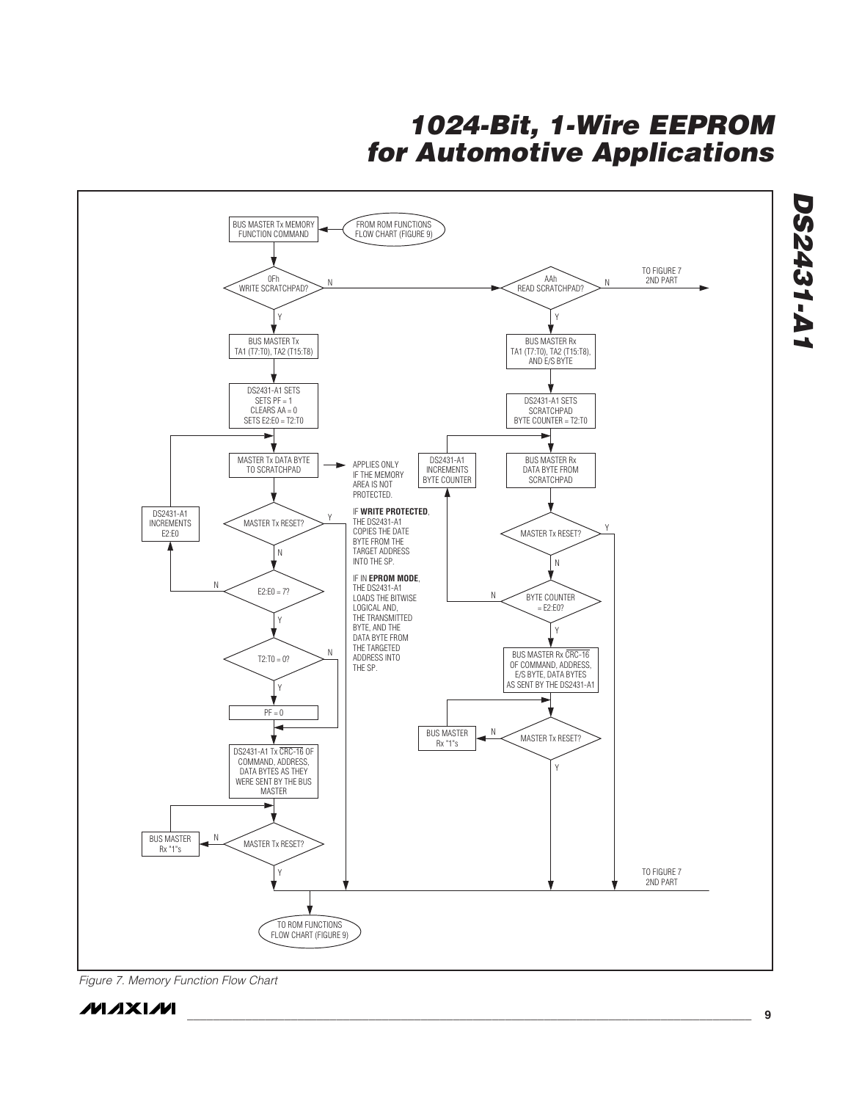

Figure 7. Memory Function Flow Chart

### **MAXIM**

**\_\_\_\_\_\_\_\_\_\_\_\_\_\_\_\_\_\_\_\_\_\_\_\_\_\_\_\_\_\_\_\_\_\_\_\_\_\_\_\_\_\_\_\_\_\_\_\_\_\_\_\_\_\_\_\_\_\_\_\_\_\_\_\_\_\_\_\_\_\_\_\_\_\_\_\_\_\_\_\_\_\_\_\_\_\_\_ 9**

**DS2431-A1**

**DS2431-A1**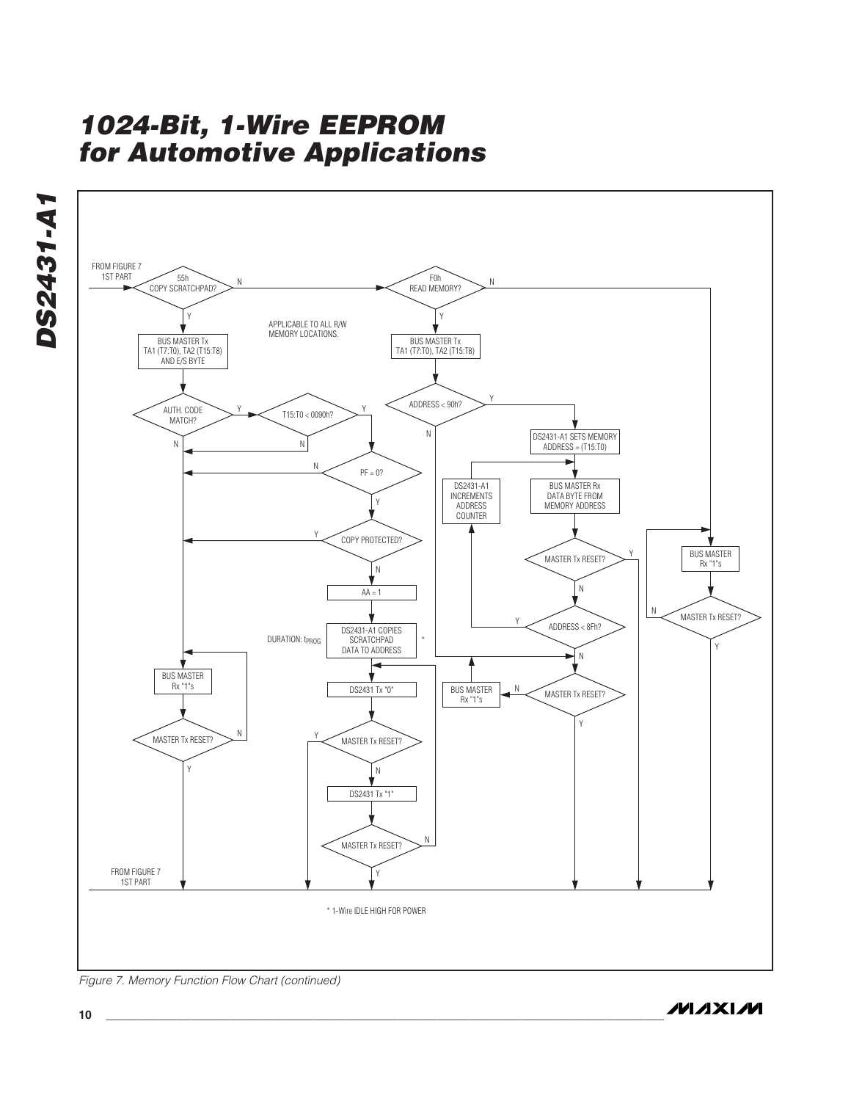



Figure 7. Memory Function Flow Chart (continued)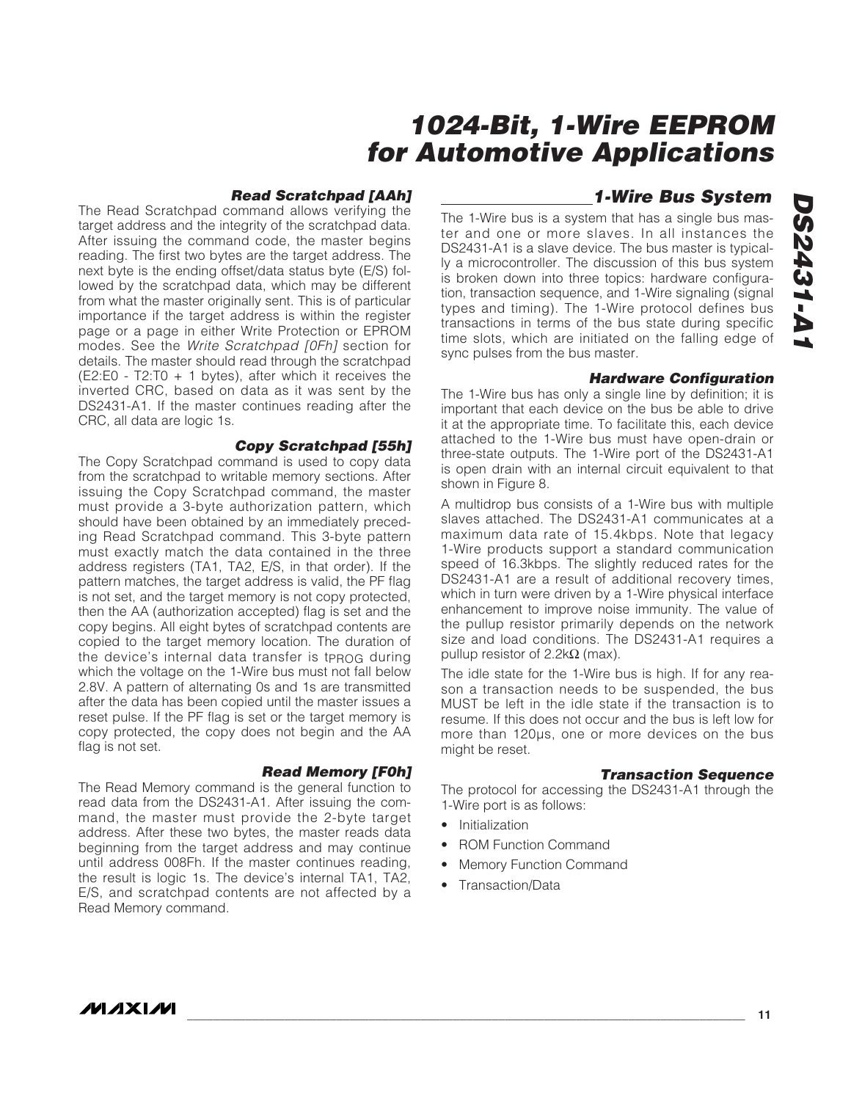#### **Read Scratchpad [AAh]**

The Read Scratchpad command allows verifying the target address and the integrity of the scratchpad data. After issuing the command code, the master begins reading. The first two bytes are the target address. The next byte is the ending offset/data status byte (E/S) followed by the scratchpad data, which may be different from what the master originally sent. This is of particular importance if the target address is within the register page or a page in either Write Protection or EPROM modes. See the Write Scratchpad [0Fh] section for details. The master should read through the scratchpad (E2:E0 - T2:T0 + 1 bytes), after which it receives the inverted CRC, based on data as it was sent by the DS2431-A1. If the master continues reading after the CRC, all data are logic 1s.

#### **Copy Scratchpad [55h]**

The Copy Scratchpad command is used to copy data from the scratchpad to writable memory sections. After issuing the Copy Scratchpad command, the master must provide a 3-byte authorization pattern, which should have been obtained by an immediately preceding Read Scratchpad command. This 3-byte pattern must exactly match the data contained in the three address registers (TA1, TA2, E/S, in that order). If the pattern matches, the target address is valid, the PF flag is not set, and the target memory is not copy protected, then the AA (authorization accepted) flag is set and the copy begins. All eight bytes of scratchpad contents are copied to the target memory location. The duration of the device's internal data transfer is tprog during which the voltage on the 1-Wire bus must not fall below 2.8V. A pattern of alternating 0s and 1s are transmitted after the data has been copied until the master issues a reset pulse. If the PF flag is set or the target memory is copy protected, the copy does not begin and the AA flag is not set.

#### **Read Memory [F0h]**

The Read Memory command is the general function to read data from the DS2431-A1. After issuing the command, the master must provide the 2-byte target address. After these two bytes, the master reads data beginning from the target address and may continue until address 008Fh. If the master continues reading, the result is logic 1s. The device's internal TA1, TA2, E/S, and scratchpad contents are not affected by a Read Memory command.

### **1-Wire Bus System**

The 1-Wire bus is a system that has a single bus master and one or more slaves. In all instances the DS2431-A1 is a slave device. The bus master is typically a microcontroller. The discussion of this bus system is broken down into three topics: hardware configuration, transaction sequence, and 1-Wire signaling (signal types and timing). The 1-Wire protocol defines bus transactions in terms of the bus state during specific time slots, which are initiated on the falling edge of sync pulses from the bus master.

#### **Hardware Configuration**

The 1-Wire bus has only a single line by definition; it is important that each device on the bus be able to drive it at the appropriate time. To facilitate this, each device attached to the 1-Wire bus must have open-drain or three-state outputs. The 1-Wire port of the DS2431-A1 is open drain with an internal circuit equivalent to that shown in Figure 8.

A multidrop bus consists of a 1-Wire bus with multiple slaves attached. The DS2431-A1 communicates at a maximum data rate of 15.4kbps. Note that legacy 1-Wire products support a standard communication speed of 16.3kbps. The slightly reduced rates for the DS2431-A1 are a result of additional recovery times, which in turn were driven by a 1-Wire physical interface enhancement to improve noise immunity. The value of the pullup resistor primarily depends on the network size and load conditions. The DS2431-A1 requires a pullup resistor of  $2.2k\Omega$  (max).

The idle state for the 1-Wire bus is high. If for any reason a transaction needs to be suspended, the bus MUST be left in the idle state if the transaction is to resume. If this does not occur and the bus is left low for more than 120µs, one or more devices on the bus might be reset.

#### **Transaction Sequence**

The protocol for accessing the DS2431-A1 through the 1-Wire port is as follows:

- Initialization
- ROM Function Command
- **Memory Function Command**
- Transaction/Data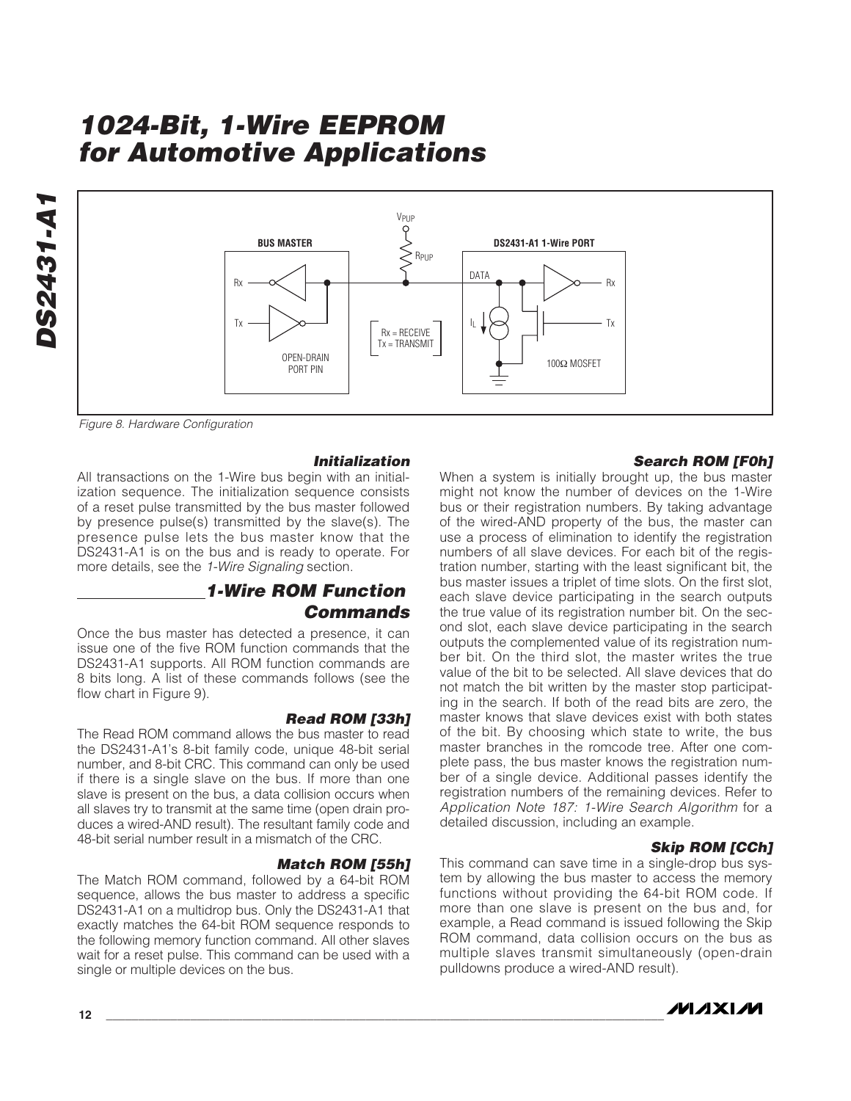

Figure 8. Hardware Configuration

#### **Initialization**

All transactions on the 1-Wire bus begin with an initialization sequence. The initialization sequence consists of a reset pulse transmitted by the bus master followed by presence pulse(s) transmitted by the slave(s). The presence pulse lets the bus master know that the DS2431-A1 is on the bus and is ready to operate. For more details, see the 1-Wire Signaling section.

### **1-Wire ROM Function Commands**

Once the bus master has detected a presence, it can issue one of the five ROM function commands that the DS2431-A1 supports. All ROM function commands are 8 bits long. A list of these commands follows (see the flow chart in Figure 9).

#### **Read ROM [33h]**

The Read ROM command allows the bus master to read the DS2431-A1's 8-bit family code, unique 48-bit serial number, and 8-bit CRC. This command can only be used if there is a single slave on the bus. If more than one slave is present on the bus, a data collision occurs when all slaves try to transmit at the same time (open drain produces a wired-AND result). The resultant family code and 48-bit serial number result in a mismatch of the CRC.

#### **Match ROM [55h]**

The Match ROM command, followed by a 64-bit ROM sequence, allows the bus master to address a specific DS2431-A1 on a multidrop bus. Only the DS2431-A1 that exactly matches the 64-bit ROM sequence responds to the following memory function command. All other slaves wait for a reset pulse. This command can be used with a single or multiple devices on the bus.

#### **Search ROM [F0h]**

When a system is initially brought up, the bus master might not know the number of devices on the 1-Wire bus or their registration numbers. By taking advantage of the wired-AND property of the bus, the master can use a process of elimination to identify the registration numbers of all slave devices. For each bit of the registration number, starting with the least significant bit, the bus master issues a triplet of time slots. On the first slot, each slave device participating in the search outputs the true value of its registration number bit. On the second slot, each slave device participating in the search outputs the complemented value of its registration number bit. On the third slot, the master writes the true value of the bit to be selected. All slave devices that do not match the bit written by the master stop participating in the search. If both of the read bits are zero, the master knows that slave devices exist with both states of the bit. By choosing which state to write, the bus master branches in the romcode tree. After one complete pass, the bus master knows the registration number of a single device. Additional passes identify the registration numbers of the remaining devices. Refer to Application Note 187: 1-Wire Search Algorithm for a detailed discussion, including an example.

#### **Skip ROM [CCh]**

This command can save time in a single-drop bus system by allowing the bus master to access the memory functions without providing the 64-bit ROM code. If more than one slave is present on the bus and, for example, a Read command is issued following the Skip ROM command, data collision occurs on the bus as multiple slaves transmit simultaneously (open-drain pulldowns produce a wired-AND result).

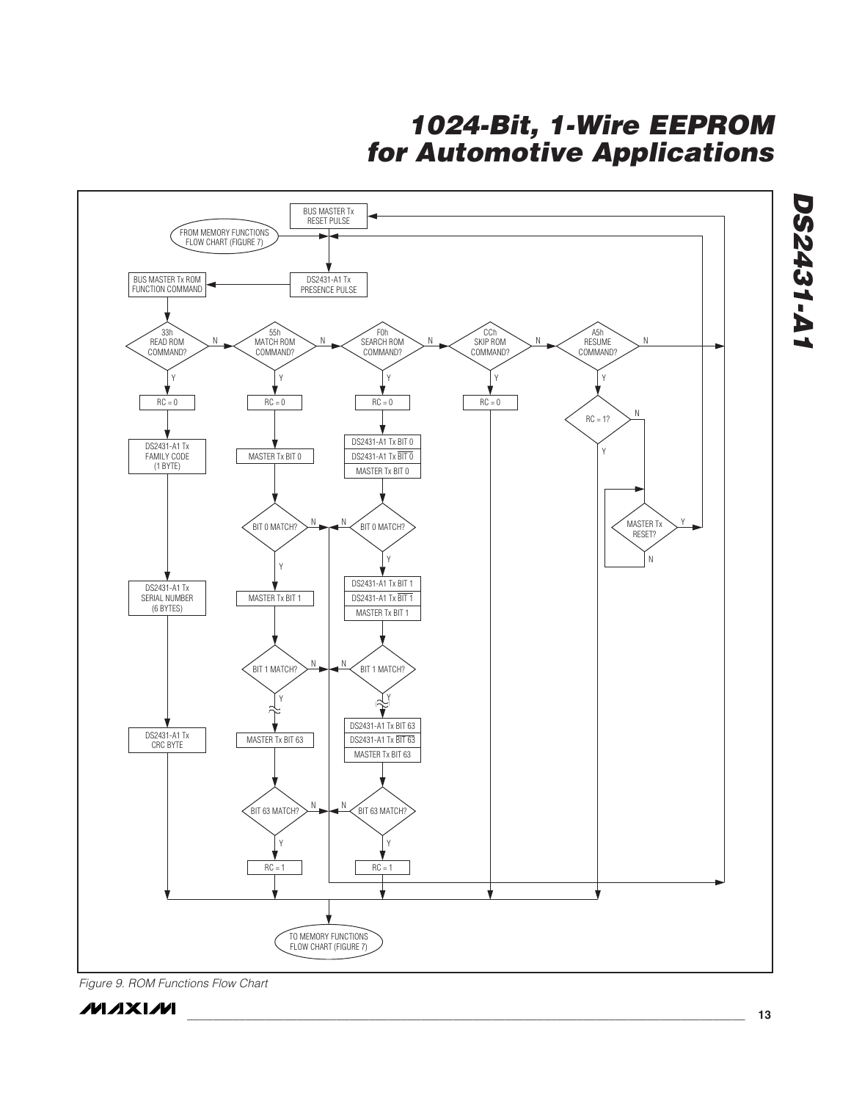**1024-Bit, 1-Wire EEPROM for Automotive Applications**



Figure 9. ROM Functions Flow Chart

**MAXIM** 

**DS2431-A1**

**DS2431-A1**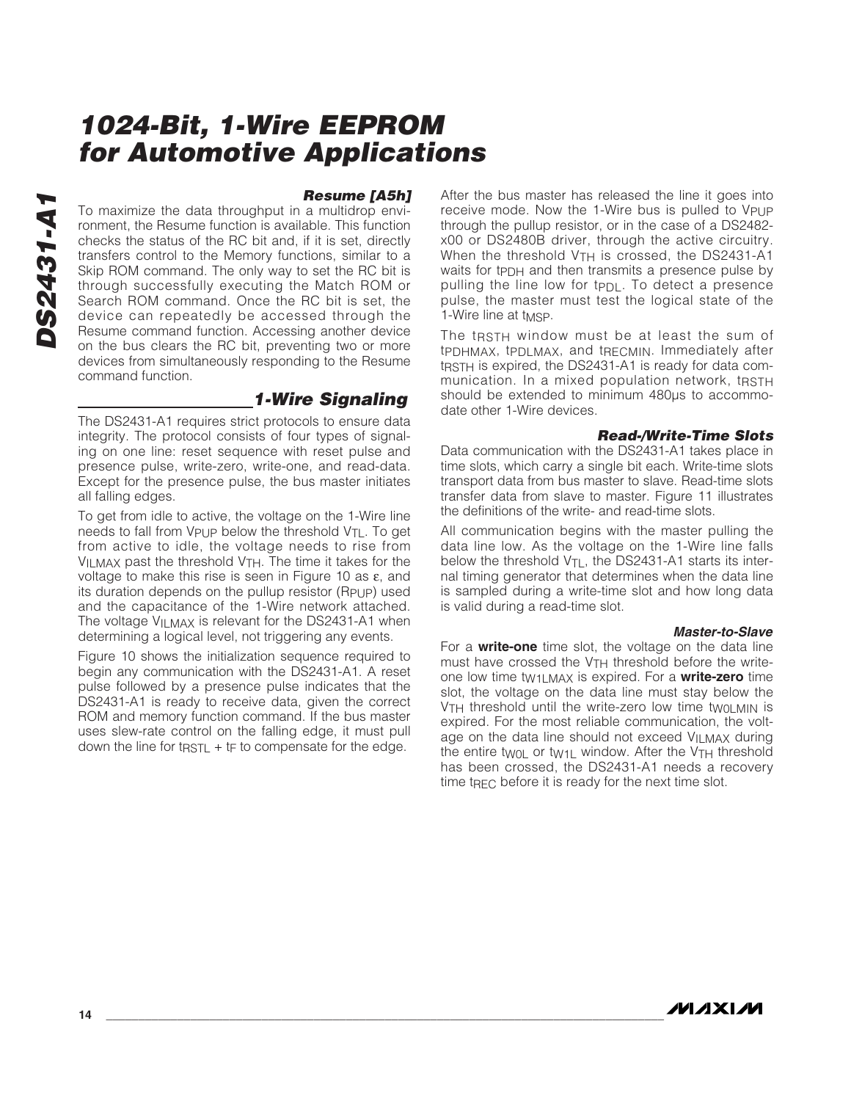#### **Resume [A5h]**

To maximize the data throughput in a multidrop environment, the Resume function is available. This function checks the status of the RC bit and, if it is set, directly transfers control to the Memory functions, similar to a Skip ROM command. The only way to set the RC bit is through successfully executing the Match ROM or Search ROM command. Once the RC bit is set, the device can repeatedly be accessed through the Resume command function. Accessing another device on the bus clears the RC bit, preventing two or more devices from simultaneously responding to the Resume command function.

### **1-Wire Signaling**

The DS2431-A1 requires strict protocols to ensure data integrity. The protocol consists of four types of signaling on one line: reset sequence with reset pulse and presence pulse, write-zero, write-one, and read-data. Except for the presence pulse, the bus master initiates all falling edges.

To get from idle to active, the voltage on the 1-Wire line needs to fall from  $V_{\text{PU}}$  below the threshold  $V_{\text{TL}}$ . To get from active to idle, the voltage needs to rise from VILMAX past the threshold VTH. The time it takes for the voltage to make this rise is seen in Figure 10 as ε, and its duration depends on the pullup resistor (R<sub>PUP</sub>) used and the capacitance of the 1-Wire network attached. The voltage V<sub>ILMAX</sub> is relevant for the DS2431-A1 when determining a logical level, not triggering any events.

Figure 10 shows the initialization sequence required to begin any communication with the DS2431-A1. A reset pulse followed by a presence pulse indicates that the DS2431-A1 is ready to receive data, given the correct ROM and memory function command. If the bus master uses slew-rate control on the falling edge, it must pull down the line for t $RSTL + tF$  to compensate for the edge.

After the bus master has released the line it goes into receive mode. Now the 1-Wire bus is pulled to VPUP through the pullup resistor, or in the case of a DS2482 x00 or DS2480B driver, through the active circuitry. When the threshold  $V<sub>TH</sub>$  is crossed, the DS2431-A1 waits for tppH and then transmits a presence pulse by pulling the line low for t $PDL$ . To detect a presence pulse, the master must test the logical state of the 1-Wire line at tMSP.

The t<sub>RSTH</sub> window must be at least the sum of tPDHMAX, tPDLMAX, and tRECMIN. Immediately after tRSTH is expired, the DS2431-A1 is ready for data communication. In a mixed population network, tRSTH should be extended to minimum 480 $\mu$ s to accommodate other 1-Wire devices.

#### **Read-/Write-Time Slots**

Data communication with the DS2431-A1 takes place in time slots, which carry a single bit each. Write-time slots transport data from bus master to slave. Read-time slots transfer data from slave to master. Figure 11 illustrates the definitions of the write- and read-time slots.

All communication begins with the master pulling the data line low. As the voltage on the 1-Wire line falls below the threshold  $V_{\text{TI}}$ , the DS2431-A1 starts its internal timing generator that determines when the data line is sampled during a write-time slot and how long data is valid during a read-time slot.

#### **Master-to-Slave**

For a **write-one** time slot, the voltage on the data line must have crossed the VTH threshold before the writeone low time tW1LMAX is expired. For a **write-zero** time slot, the voltage on the data line must stay below the V<sub>TH</sub> threshold until the write-zero low time twoLMIN is expired. For the most reliable communication, the voltage on the data line should not exceed V<sub>II</sub> MAX during the entire twol or tw<sub>11</sub> window. After the  $V<sub>TH</sub>$  threshold has been crossed, the DS2431-A1 needs a recovery time tRFC before it is ready for the next time slot.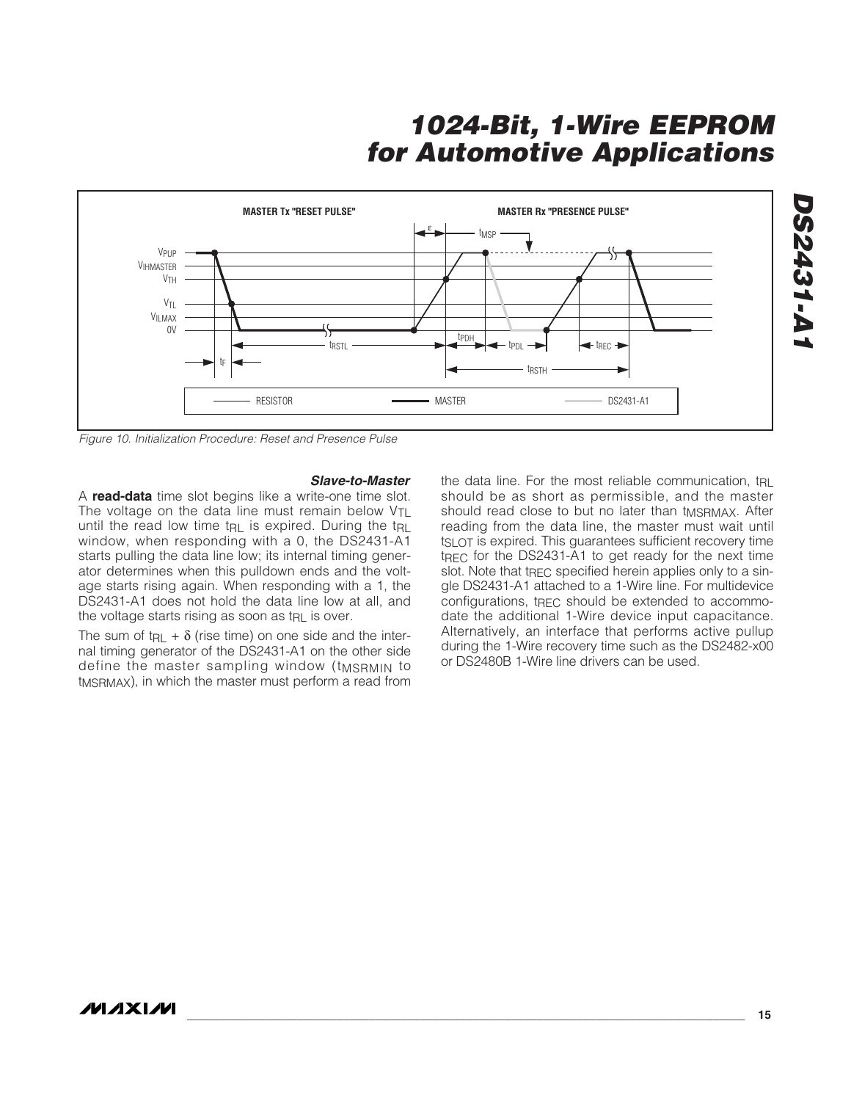

Figure 10. Initialization Procedure: Reset and Presence Pulse

#### **Slave-to-Master**

A **read-data** time slot begins like a write-one time slot. The voltage on the data line must remain below V<sub>TL</sub> until the read low time tRL is expired. During the tRL window, when responding with a 0, the DS2431-A1 starts pulling the data line low; its internal timing generator determines when this pulldown ends and the voltage starts rising again. When responding with a 1, the DS2431-A1 does not hold the data line low at all, and the voltage starts rising as soon as t<sub>RL</sub> is over.

The sum of t<sub>RL</sub> +  $\delta$  (rise time) on one side and the internal timing generator of the DS2431-A1 on the other side define the master sampling window (tMSRMIN to tMSRMAX), in which the master must perform a read from the data line. For the most reliable communication, true should be as short as permissible, and the master should read close to but no later than tMSRMAX. After reading from the data line, the master must wait until tSLOT is expired. This guarantees sufficient recovery time tREC for the DS2431-A1 to get ready for the next time slot. Note that t<sub>REC</sub> specified herein applies only to a single DS2431-A1 attached to a 1-Wire line. For multidevice configurations, tREC should be extended to accommodate the additional 1-Wire device input capacitance. Alternatively, an interface that performs active pullup during the 1-Wire recovery time such as the DS2482-x00 or DS2480B 1-Wire line drivers can be used.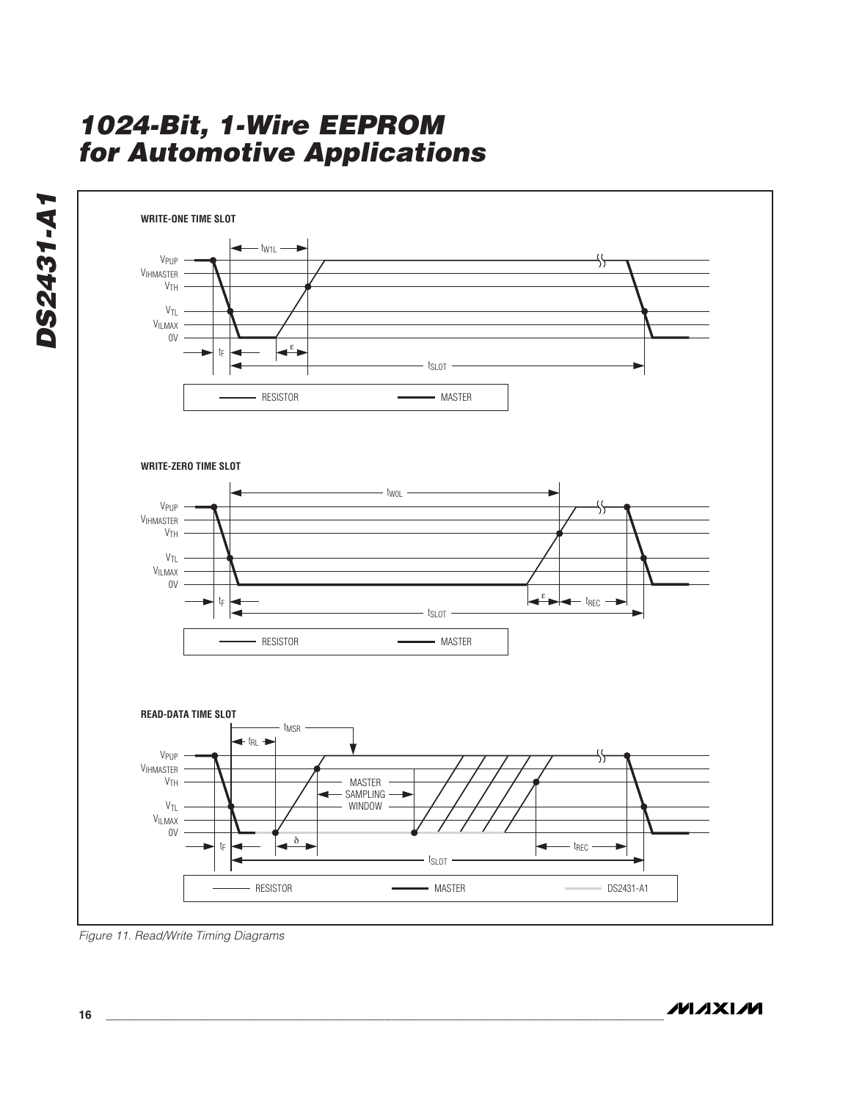

Figure 11. Read/Write Timing Diagrams

**DS2431-A1**

DS2431-A1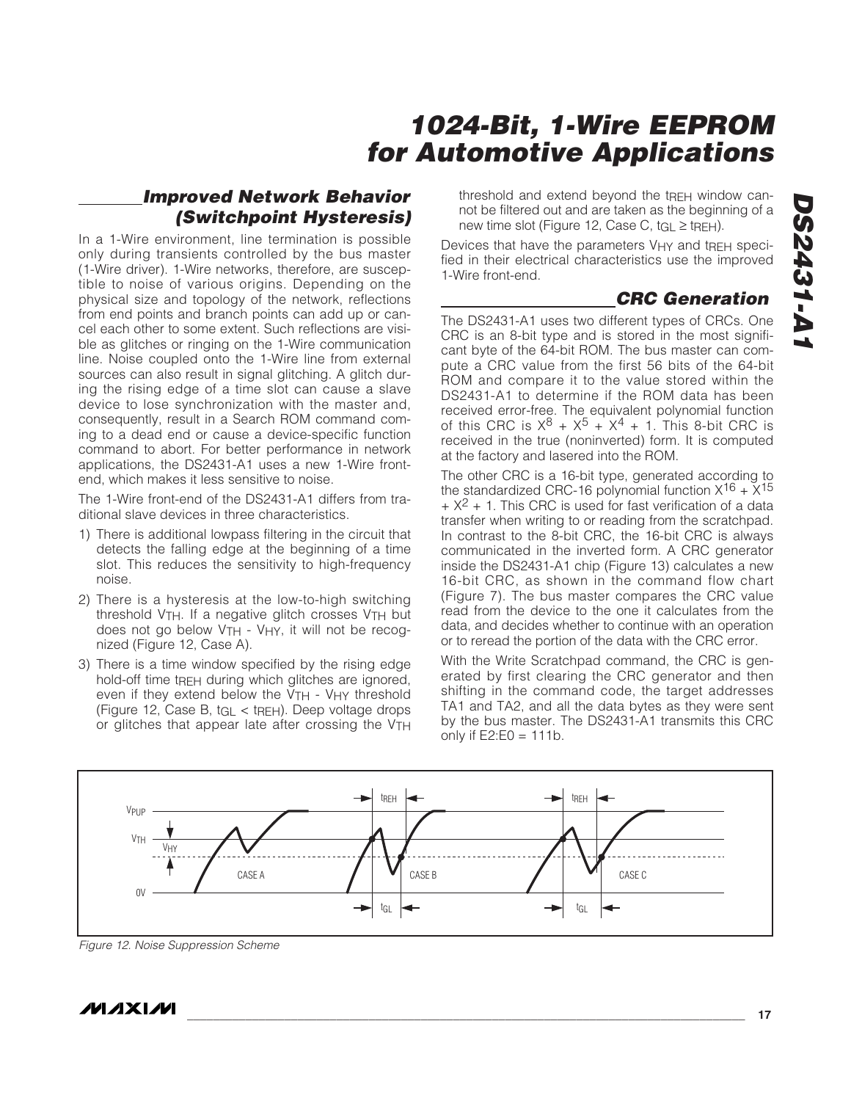### **Improved Network Behavior (Switchpoint Hysteresis)**

In a 1-Wire environment, line termination is possible only during transients controlled by the bus master (1-Wire driver). 1-Wire networks, therefore, are susceptible to noise of various origins. Depending on the physical size and topology of the network, reflections from end points and branch points can add up or cancel each other to some extent. Such reflections are visible as glitches or ringing on the 1-Wire communication line. Noise coupled onto the 1-Wire line from external sources can also result in signal glitching. A glitch during the rising edge of a time slot can cause a slave device to lose synchronization with the master and, consequently, result in a Search ROM command coming to a dead end or cause a device-specific function command to abort. For better performance in network applications, the DS2431-A1 uses a new 1-Wire frontend, which makes it less sensitive to noise.

The 1-Wire front-end of the DS2431-A1 differs from traditional slave devices in three characteristics.

- 1) There is additional lowpass filtering in the circuit that detects the falling edge at the beginning of a time slot. This reduces the sensitivity to high-frequency noise.
- 2) There is a hysteresis at the low-to-high switching threshold VTH. If a negative glitch crosses VTH but does not go below V<sub>TH</sub> - V<sub>HY</sub>, it will not be recognized (Figure 12, Case A).
- 3) There is a time window specified by the rising edge hold-off time tREH during which glitches are ignored, even if they extend below the  $V<sub>TH</sub>$  - V<sub>HY</sub> threshold (Figure 12, Case B, tGL < tREH). Deep voltage drops or glitches that appear late after crossing the VTH

threshold and extend beyond the tREH window cannot be filtered out and are taken as the beginning of a new time slot (Figure 12, Case C,  $tGL \geq tRE$ H).

Devices that have the parameters V<sub>HY</sub> and t<sub>REH</sub> specified in their electrical characteristics use the improved 1-Wire front-end.

### **CRC Generation**

The DS2431-A1 uses two different types of CRCs. One CRC is an 8-bit type and is stored in the most significant byte of the 64-bit ROM. The bus master can compute a CRC value from the first 56 bits of the 64-bit ROM and compare it to the value stored within the DS2431-A1 to determine if the ROM data has been received error-free. The equivalent polynomial function of this CRC is  $X^8 + X^5 + X^4 + 1$ . This 8-bit CRC is received in the true (noninverted) form. It is computed at the factory and lasered into the ROM.

The other CRC is a 16-bit type, generated according to the standardized CRC-16 polynomial function  $X^{16} + X^{15}$  $+ X<sup>2</sup> + 1$ . This CRC is used for fast verification of a data transfer when writing to or reading from the scratchpad. In contrast to the 8-bit CRC, the 16-bit CRC is always communicated in the inverted form. A CRC generator inside the DS2431-A1 chip (Figure 13) calculates a new 16-bit CRC, as shown in the command flow chart (Figure 7). The bus master compares the CRC value read from the device to the one it calculates from the data, and decides whether to continue with an operation or to reread the portion of the data with the CRC error.

With the Write Scratchpad command, the CRC is generated by first clearing the CRC generator and then shifting in the command code, the target addresses TA1 and TA2, and all the data bytes as they were sent by the bus master. The DS2431-A1 transmits this CRC only if  $E2:EO = 111b$ .



Figure 12. Noise Suppression Scheme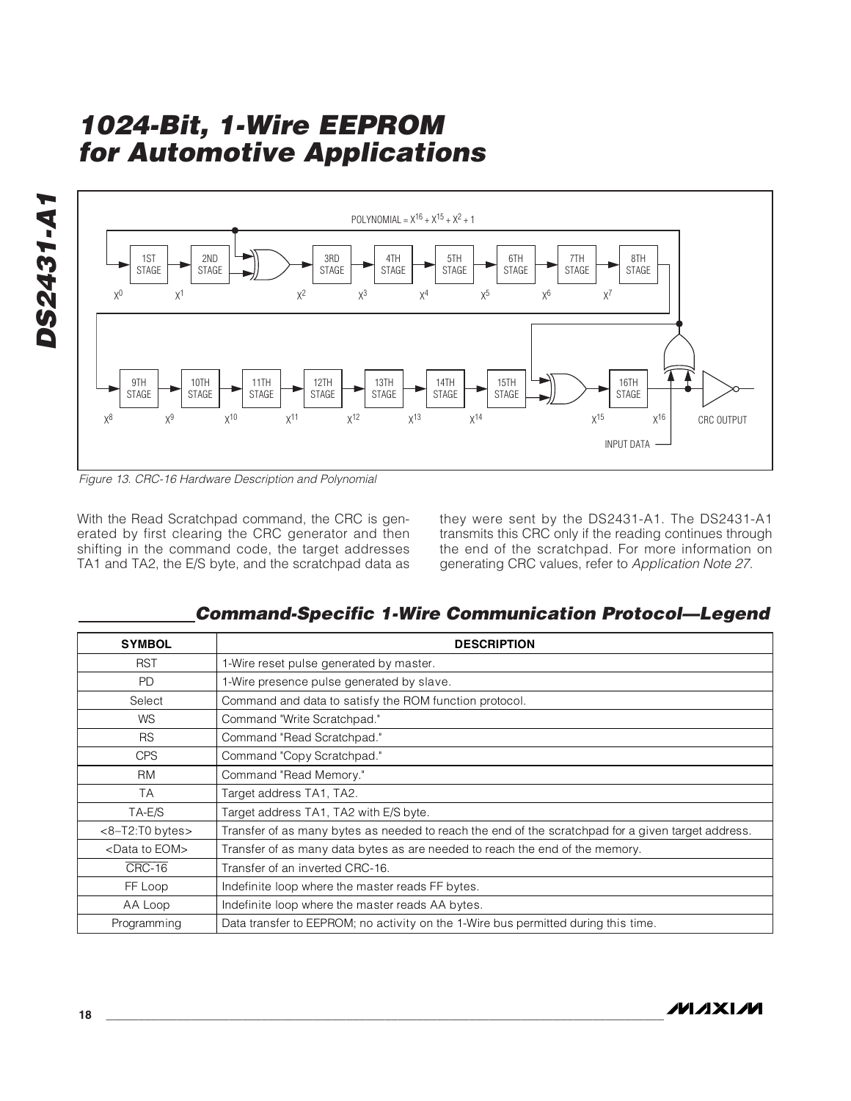

Figure 13. CRC-16 Hardware Description and Polynomial

With the Read Scratchpad command, the CRC is generated by first clearing the CRC generator and then shifting in the command code, the target addresses TA1 and TA2, the E/S byte, and the scratchpad data as they were sent by the DS2431-A1. The DS2431-A1 transmits this CRC only if the reading continues through the end of the scratchpad. For more information on generating CRC values, refer to Application Note 27.

**Command-Specific 1-Wire Communication Protocol—Legend**

| <b>SYMBOL</b>              | <b>DESCRIPTION</b>                                                                                 |
|----------------------------|----------------------------------------------------------------------------------------------------|
| <b>RST</b>                 | 1-Wire reset pulse generated by master.                                                            |
| <b>PD</b>                  | 1-Wire presence pulse generated by slave.                                                          |
| Select                     | Command and data to satisfy the ROM function protocol.                                             |
| <b>WS</b>                  | Command "Write Scratchpad."                                                                        |
| <b>RS</b>                  | Command "Read Scratchpad."                                                                         |
| <b>CPS</b>                 | Command "Copy Scratchpad."                                                                         |
| <b>RM</b>                  | Command "Read Memory."                                                                             |
| <b>TA</b>                  | Target address TA1, TA2.                                                                           |
| TA-E/S                     | Target address TA1, TA2 with E/S byte.                                                             |
| $<8-T2:TO$ bytes $>$       | Transfer of as many bytes as needed to reach the end of the scratchpad for a given target address. |
| <data eom="" to=""></data> | Transfer of as many data bytes as are needed to reach the end of the memory.                       |
| CRC-16                     | Transfer of an inverted CRC-16.                                                                    |
| FF Loop                    | Indefinite loop where the master reads FF bytes.                                                   |
| AA Loop                    | Indefinite loop where the master reads AA bytes.                                                   |
| Programming                | Data transfer to EEPROM; no activity on the 1-Wire bus permitted during this time.                 |

**DS2431-A1**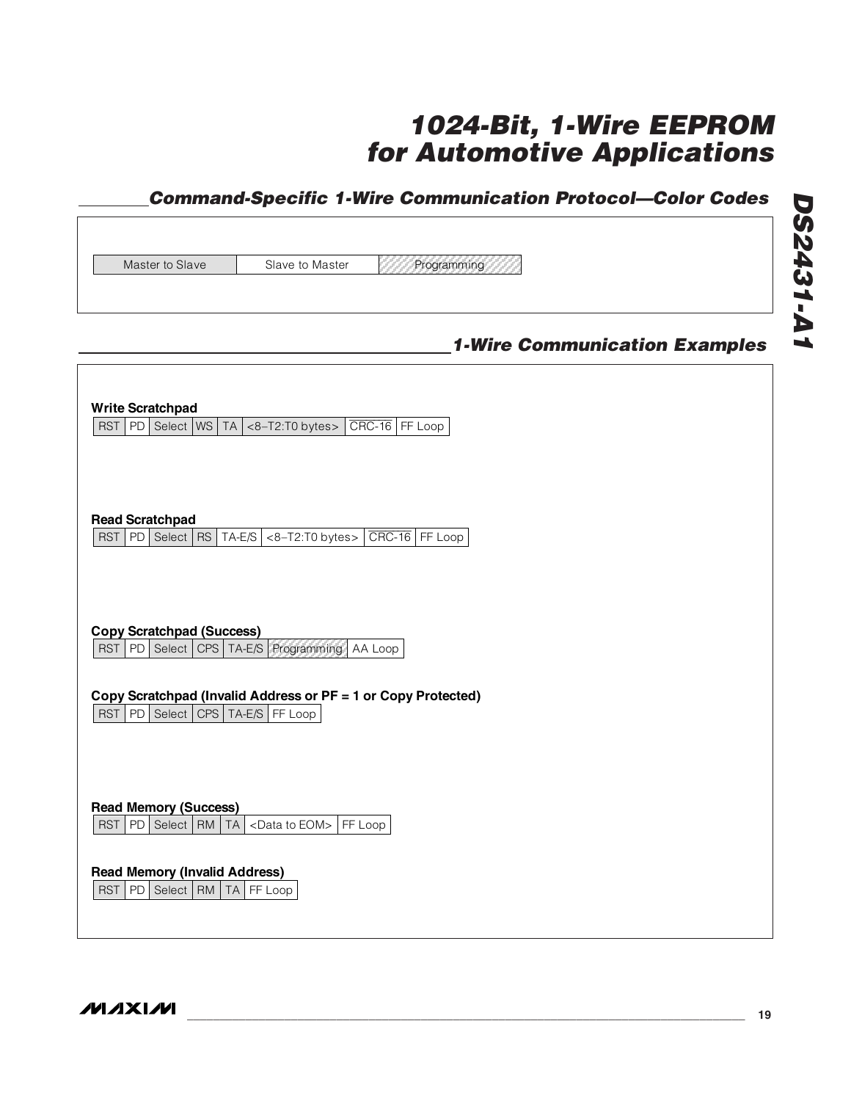### **Command-Specific 1-Wire Communication Protocol—Color Codes**

Master to Slave Slave to Master Programming

### **1-Wire Communication Examples**

| <b>Write Scratchpad</b><br>PD   Select   WS   TA $ $ <8-T2:T0 bytes > $ $ CRC-16   FF Loop<br><b>RST</b>                                                                                                                          |
|-----------------------------------------------------------------------------------------------------------------------------------------------------------------------------------------------------------------------------------|
| <b>Read Scratchpad</b><br>$CRC-16$ FF Loop<br>PD Select RS<br>$TA-E/S$<br><8-T2:T0 bytes><br><b>RST</b>                                                                                                                           |
| <b>Copy Scratchpad (Success)</b><br>Select  <br>CPS   TA-E/S   Programming<br><b>RST</b><br>PD  <br>AA Loop<br>Copy Scratchpad (Invalid Address or PF = 1 or Copy Protected)<br><b>RST</b><br>PD Select<br>$CPS$ $TA-E/S$ FF Loop |
| <b>Read Memory (Success)</b><br><b>RST</b><br>PD   Select   RM   TA<br><data eom="" to=""> FF Loop</data>                                                                                                                         |
| <b>Read Memory (Invalid Address)</b><br>PD<br>Select   RM  <br><b>TA</b><br><b>RST</b><br>FF Loop                                                                                                                                 |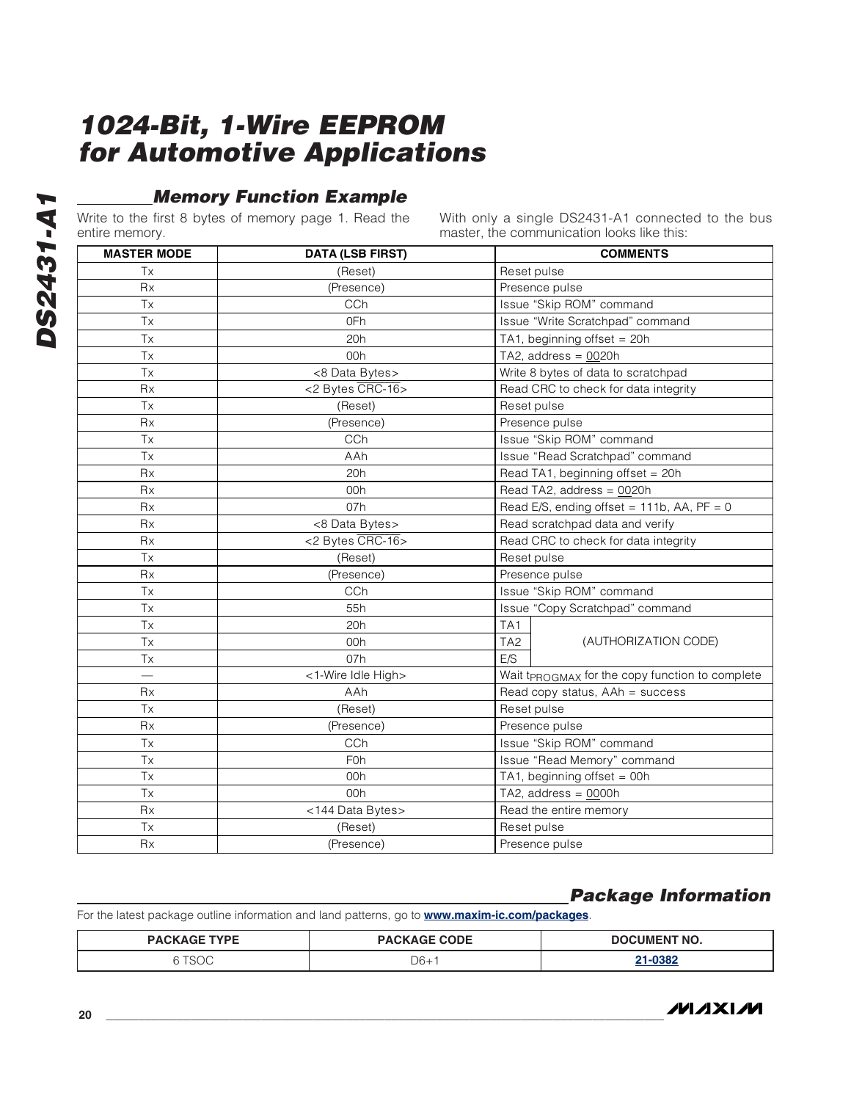### **Memory Function Example**

Write to the first 8 bytes of memory page 1. Read the entire memory.

With only a single DS2431-A1 connected to the bus master, the communication looks like this:

| <b>Service Service</b> |
|------------------------|
|                        |
|                        |
| ŋ                      |
|                        |
|                        |
| į,                     |
|                        |

|                    |                         | master, the communication looks like this.      |  |  |
|--------------------|-------------------------|-------------------------------------------------|--|--|
| <b>MASTER MODE</b> | <b>DATA (LSB FIRST)</b> | <b>COMMENTS</b>                                 |  |  |
| Tx                 | (Reset)                 | Reset pulse                                     |  |  |
| <b>Rx</b>          | (Presence)              | Presence pulse                                  |  |  |
| <b>Tx</b>          | CCh                     | Issue "Skip ROM" command                        |  |  |
| Tx                 | 0Fh                     | Issue "Write Scratchpad" command                |  |  |
| <b>Tx</b>          | 20h                     | TA1, beginning offset = $20h$                   |  |  |
| <b>Tx</b>          | 00h                     | TA2, address = $0020h$                          |  |  |
| Tx                 | <8 Data Bytes>          | Write 8 bytes of data to scratchpad             |  |  |
| <b>Rx</b>          | <2 Bytes CRC-16>        | Read CRC to check for data integrity            |  |  |
| Tx                 | (Reset)                 | Reset pulse                                     |  |  |
| <b>Rx</b>          | (Presence)              | Presence pulse                                  |  |  |
| Tx                 | CCh                     | Issue "Skip ROM" command                        |  |  |
| <b>Tx</b>          | AAh                     | Issue "Read Scratchpad" command                 |  |  |
| Rx                 | 20h                     | Read TA1, beginning offset = 20h                |  |  |
| <b>Rx</b>          | 00h                     | Read TA2, address = 0020h                       |  |  |
| <b>Rx</b>          | 07h                     | Read E/S, ending offset = $111b$ , AA, PF = 0   |  |  |
| Rx                 | <8 Data Bytes>          | Read scratchpad data and verify                 |  |  |
| <b>Rx</b>          | <2 Bytes CRC-16>        | Read CRC to check for data integrity            |  |  |
| Tx                 | (Reset)                 | Reset pulse                                     |  |  |
| <b>Rx</b>          | (Presence)              | Presence pulse                                  |  |  |
| Tx                 | CCh                     | Issue "Skip ROM" command                        |  |  |
| Tx                 | 55h                     | Issue "Copy Scratchpad" command                 |  |  |
| Tx                 | 20h                     | TA <sub>1</sub>                                 |  |  |
| Tx                 | 00h                     | TA <sub>2</sub><br>(AUTHORIZATION CODE)         |  |  |
| <b>Tx</b>          | 07h                     | E/S                                             |  |  |
|                    | <1-Wire Idle High>      | Wait tpROGMAX for the copy function to complete |  |  |
| Rx                 | AAh                     | Read copy status, AAh = success                 |  |  |
| <b>Tx</b>          | (Reset)                 | Reset pulse                                     |  |  |
| Rx                 | (Presence)              | Presence pulse                                  |  |  |
| Tx                 | CCh                     | Issue "Skip ROM" command                        |  |  |
| <b>Tx</b>          | <b>F0h</b>              | Issue "Read Memory" command                     |  |  |
| Tx                 | 00h                     | TA1, beginning offset = 00h                     |  |  |
| Tx                 | 00h                     | TA2, address = $0000h$                          |  |  |
| Rx                 | <144 Data Bytes>        | Read the entire memory                          |  |  |
| Tx                 | (Reset)                 | Reset pulse                                     |  |  |
| <b>Rx</b>          | (Presence)              | Presence pulse                                  |  |  |

### **Package Information**

For the latest package outline information and land patterns, go to **www.maxim-ic.com/packages**.

| <b>PACKAGE TYPE</b> | <b>PACKAGE CODE</b> | <b>DOCUMENT NO.</b> |  |
|---------------------|---------------------|---------------------|--|
| голл                | D6+                 | $-0.38o$            |  |